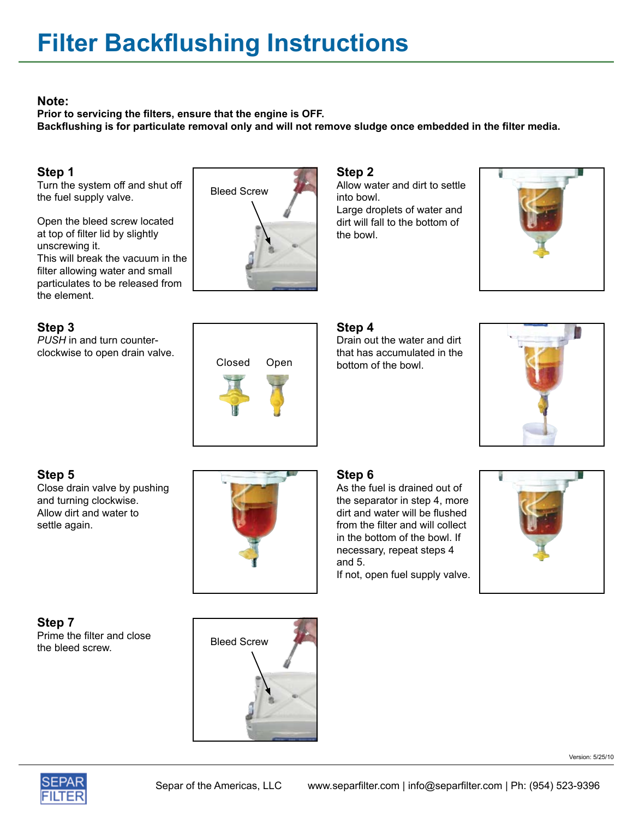#### **Note:**

**Prior to servicing the filters, ensure that the engine is OFF. Backflushing is for particulate removal only and will not remove sludge once embedded in the filter media.**

## **Step 1**

Turn the system off and shut off the fuel supply valve.

Open the bleed screw located at top of filter lid by slightly unscrewing it. This will break the vacuum in the filter allowing water and small particulates to be released from the element.

# **Step 3**

*PUSH* in and turn counterclockwise to open drain valve. Closed Open



#### **Step 2**

Allow water and dirt to settle into bowl.

Large droplets of water and dirt will fall to the bottom of the bowl.



# **Step 4**

Drain out the water and dirt that has accumulated in the bottom of the bowl.



# **Step 5**

Close drain valve by pushing and turning clockwise. Allow dirt and water to settle again.



### **Step 6**

As the fuel is drained out of the separator in step 4, more dirt and water will be flushed from the filter and will collect in the bottom of the bowl. If necessary, repeat steps 4 and 5.

If not, open fuel supply valve.



**Step 7** Prime the filter and close Prime the little and close<br>the bleed screw.



Version: 5/25/10